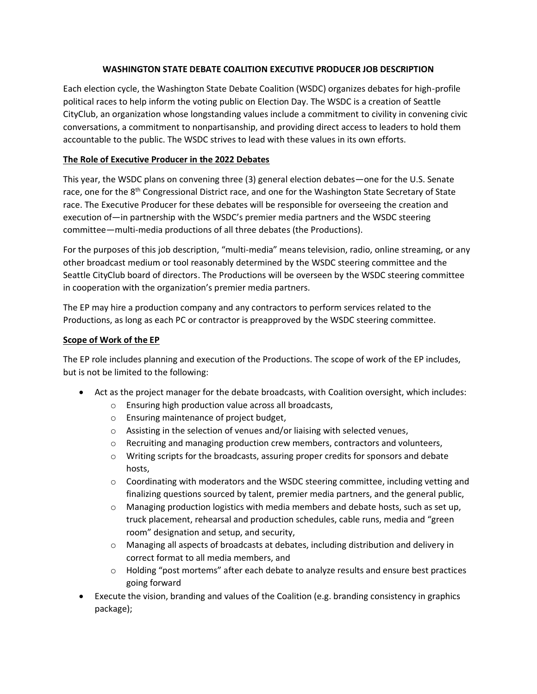## **WASHINGTON STATE DEBATE COALITION EXECUTIVE PRODUCER JOB DESCRIPTION**

Each election cycle, the Washington State Debate Coalition (WSDC) organizes debates for high-profile political races to help inform the voting public on Election Day. The WSDC is a creation of Seattle CityClub, an organization whose longstanding values include a commitment to civility in convening civic conversations, a commitment to nonpartisanship, and providing direct access to leaders to hold them accountable to the public. The WSDC strives to lead with these values in its own efforts.

# **The Role of Executive Producer in the 2022 Debates**

This year, the WSDC plans on convening three (3) general election debates—one for the U.S. Senate race, one for the 8<sup>th</sup> Congressional District race, and one for the Washington State Secretary of State race. The Executive Producer for these debates will be responsible for overseeing the creation and execution of—in partnership with the WSDC's premier media partners and the WSDC steering committee—multi-media productions of all three debates (the Productions).

For the purposes of this job description, "multi-media" means television, radio, online streaming, or any other broadcast medium or tool reasonably determined by the WSDC steering committee and the Seattle CityClub board of directors. The Productions will be overseen by the WSDC steering committee in cooperation with the organization's premier media partners.

The EP may hire a production company and any contractors to perform services related to the Productions, as long as each PC or contractor is preapproved by the WSDC steering committee.

#### **Scope of Work of the EP**

The EP role includes planning and execution of the Productions. The scope of work of the EP includes, but is not be limited to the following:

- Act as the project manager for the debate broadcasts, with Coalition oversight, which includes:
	- o Ensuring high production value across all broadcasts,
	- o Ensuring maintenance of project budget,
	- o Assisting in the selection of venues and/or liaising with selected venues,
	- o Recruiting and managing production crew members, contractors and volunteers,
	- o Writing scripts for the broadcasts, assuring proper credits for sponsors and debate hosts,
	- o Coordinating with moderators and the WSDC steering committee, including vetting and finalizing questions sourced by talent, premier media partners, and the general public,
	- $\circ$  Managing production logistics with media members and debate hosts, such as set up, truck placement, rehearsal and production schedules, cable runs, media and "green room" designation and setup, and security,
	- o Managing all aspects of broadcasts at debates, including distribution and delivery in correct format to all media members, and
	- $\circ$  Holding "post mortems" after each debate to analyze results and ensure best practices going forward
- Execute the vision, branding and values of the Coalition (e.g. branding consistency in graphics package);